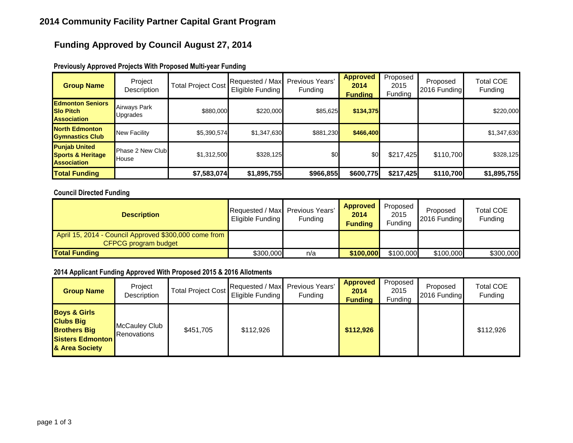## **Funding Approved by Council August 27, 2014**

| <b>Group Name</b>                                                          | Project<br>Description    | <b>Total Project Cost</b> | Requested / Max Previous Years'<br>Eligible Funding | Funding   | <b>Approved</b><br>2014<br><b>Funding</b> | Proposed<br>2015<br>Funding | Proposed<br>2016 Funding | Total COE<br>Funding |
|----------------------------------------------------------------------------|---------------------------|---------------------------|-----------------------------------------------------|-----------|-------------------------------------------|-----------------------------|--------------------------|----------------------|
| <b>Edmonton Seniors</b><br><b>Slo Pitch</b><br><b>Association</b>          | Airways Park<br>Upgrades  | \$880,000                 | \$220,000                                           | \$85,625  | \$134,375                                 |                             |                          | \$220,000            |
| <b>North Edmonton</b><br><b>Gymnastics Club</b>                            | <b>New Facility</b>       | \$5,390,574               | \$1,347,630                                         | \$881,230 | \$466,400                                 |                             |                          | \$1,347,630          |
| <b>Punjab United</b><br><b>Sports &amp; Heritage</b><br><b>Association</b> | Phase 2 New Club<br>House | \$1,312,500               | \$328,125                                           | \$0       | \$0                                       | \$217,425                   | \$110,700                | \$328,125            |
| <b>Total Funding</b>                                                       |                           | \$7,583,074               | \$1,895,755                                         | \$966,855 | \$600,775                                 | \$217,425                   | \$110,700                | \$1,895,755          |

### **Previously Approved Projects With Proposed Multi-year Funding**

### **Council Directed Funding**

| <b>Description</b>                                                            | Requested / Max Previous Years'<br>Eligible Funding | Funding | <b>Approved</b><br>2014<br><b>Funding</b> | Proposed<br>2015<br><b>Funding</b> | Proposed<br>2016 Funding | <b>Total COE</b><br>Funding |
|-------------------------------------------------------------------------------|-----------------------------------------------------|---------|-------------------------------------------|------------------------------------|--------------------------|-----------------------------|
| April 15, 2014 - Council Approved \$300,000 come from<br>CFPCG program budget |                                                     |         |                                           |                                    |                          |                             |
| <b>Total Funding</b>                                                          | \$300,000                                           | n/a     | \$100,000                                 | \$100,000                          | \$100,000                | \$300,000                   |

#### **2014 Applicant Funding Approved With Proposed 2015 & 2016 Allotments**

| <b>Group Name</b>                                                                                               | Project<br>Description              | <b>Total Project Cost</b> | Requested / Max Previous Years'<br>Eligible Funding | Funding | <b>Approved</b><br>2014<br><b>Funding</b> | Proposed<br>2015<br>Funding | Proposed<br>2016 Funding | <b>Total COE</b><br>Funding |
|-----------------------------------------------------------------------------------------------------------------|-------------------------------------|---------------------------|-----------------------------------------------------|---------|-------------------------------------------|-----------------------------|--------------------------|-----------------------------|
| <b>Boys &amp; Girls</b><br><b>Clubs Big</b><br><b>Brothers Big</b><br><b>Sisters Edmonton</b><br>& Area Society | <b>McCauley Club</b><br>Renovations | \$451.705                 | \$112,926                                           |         | \$112,926                                 |                             |                          | \$112,926                   |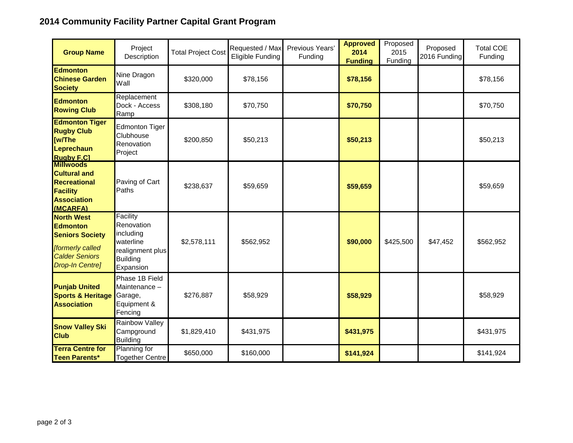# **2014 Community Facility Partner Capital Grant Program**

| <b>Group Name</b>                                                                                                                     | Project<br>Description                                                                               | <b>Total Project Cost</b> | Requested / Max<br>Eligible Funding | Previous Years'<br>Funding | <b>Approved</b><br>2014<br><b>Funding</b> | Proposed<br>2015<br>Funding | Proposed<br>2016 Funding | <b>Total COE</b><br>Funding |
|---------------------------------------------------------------------------------------------------------------------------------------|------------------------------------------------------------------------------------------------------|---------------------------|-------------------------------------|----------------------------|-------------------------------------------|-----------------------------|--------------------------|-----------------------------|
| <b>Edmonton</b><br><b>Chinese Garden</b><br><b>Society</b>                                                                            | Nine Dragon<br>Wall                                                                                  | \$320,000                 | \$78,156                            |                            | \$78,156                                  |                             |                          | \$78,156                    |
| <b>Edmonton</b><br><b>Rowing Club</b>                                                                                                 | Replacement<br>Dock - Access<br>Ramp                                                                 | \$308,180                 | \$70,750                            |                            | \$70,750                                  |                             |                          | \$70,750                    |
| <b>Edmonton Tiger</b><br><b>Rugby Club</b><br>[w/The<br>Leprechaun<br><b>Rugby F.C1</b>                                               | Edmonton Tiger<br>Clubhouse<br>Renovation<br>Project                                                 | \$200,850                 | \$50,213                            |                            | \$50,213                                  |                             |                          | \$50,213                    |
| <b>Millwoods</b><br><b>Cultural and</b><br><b>Recreational</b><br><b>Facility</b><br><b>Association</b><br>(MCARFA)                   | Paving of Cart<br>Paths                                                                              | \$238,637                 | \$59,659                            |                            | \$59,659                                  |                             |                          | \$59,659                    |
| <b>North West</b><br><b>Edmonton</b><br><b>Seniors Society</b><br>[formerly called<br><b>Calder Seniors</b><br><b>Drop-In Centre]</b> | Facility<br>Renovation<br>including<br>waterline<br>realignment plus<br><b>Building</b><br>Expansion | \$2,578,111               | \$562,952                           |                            | \$90,000                                  | \$425,500                   | \$47,452                 | \$562,952                   |
| <b>Punjab United</b><br><b>Sports &amp; Heritage</b><br><b>Association</b>                                                            | Phase 1B Field<br>Maintenance -<br>Garage,<br>Equipment &<br>Fencing                                 | \$276,887                 | \$58,929                            |                            | \$58,929                                  |                             |                          | \$58,929                    |
| <b>Snow Valley Ski</b><br><b>Club</b>                                                                                                 | Rainbow Valley<br>Campground<br><b>Building</b>                                                      | \$1,829,410               | \$431,975                           |                            | \$431,975                                 |                             |                          | \$431,975                   |
| <b>Terra Centre for</b><br><b>Teen Parents*</b>                                                                                       | <b>Planning for</b><br><b>Together Centre</b>                                                        | \$650,000                 | \$160,000                           |                            | \$141,924                                 |                             |                          | \$141,924                   |